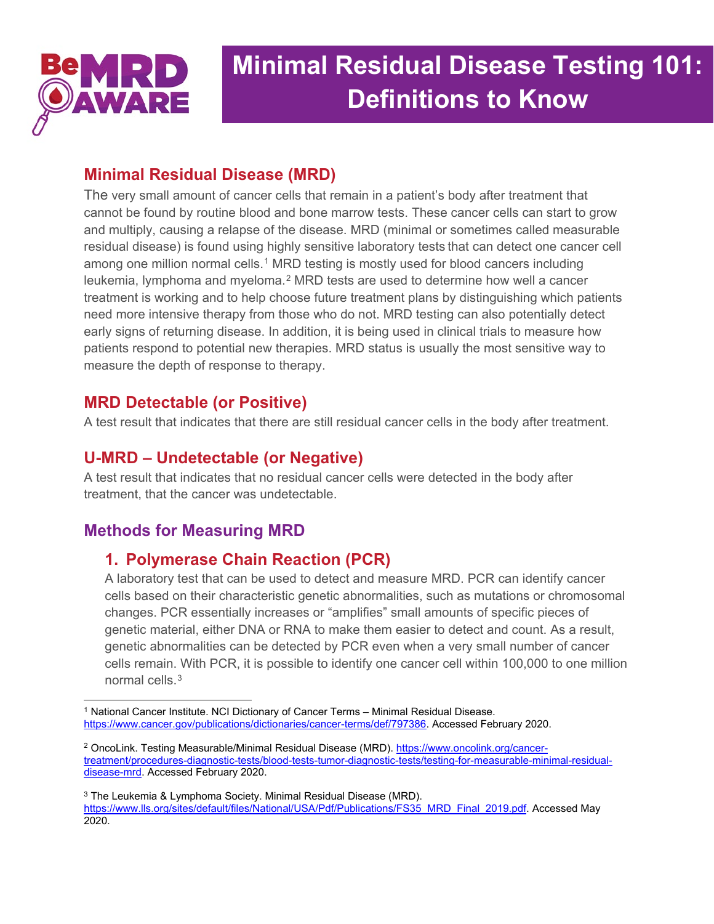

# **Minimal Residual Disease Testing 101: Definitions to Know**

## **Minimal Residual Disease (MRD)**

The very small amount of cancer cells that remain in a patient's body after treatment that cannot be found by routine blood and bone marrow tests. These cancer cells can start to grow and multiply, causing a relapse of the disease. MRD (minimal or sometimes called measurable residual disease) is found using highly sensitive laboratory tests that can detect one cancer cell among one million normal cells.<sup>[1](#page-0-0)</sup> MRD testing is mostly used for blood cancers including leukemia, lymphoma and myeloma.<sup>[2](#page-0-1)</sup> MRD tests are used to determine how well a cancer treatment is working and to help choose future treatment plans by distinguishing which patients need more intensive therapy from those who do not. MRD testing can also potentially detect early signs of returning disease. In addition, it is being used in clinical trials to measure how patients respond to potential new therapies. MRD status is usually the most sensitive way to measure the depth of response to therapy.

## **MRD Detectable (or Positive)**

A test result that indicates that there are still residual cancer cells in the body after treatment.

# **U-MRD – Undetectable (or Negative)**

A test result that indicates that no residual cancer cells were detected in the body after treatment, that the cancer was undetectable.

# **Methods for Measuring MRD**

# **1. Polymerase Chain Reaction (PCR)**

A laboratory test that can be used to detect and measure MRD. PCR can identify cancer cells based on their characteristic genetic abnormalities, such as mutations or chromosomal changes. PCR essentially increases or "amplifies" small amounts of specific pieces of genetic material, either DNA or RNA to make them easier to detect and count. As a result, genetic abnormalities can be detected by PCR even when a very small number of cancer cells remain. With PCR, it is possible to identify one cancer cell within 100,000 to one million normal cells.<sup>[3](#page-0-2)</sup>

<span id="page-0-0"></span><sup>1</sup> National Cancer Institute. NCI Dictionary of Cancer Terms – Minimal Residual Disease. [https://www.cancer.gov/publications/dictionaries/cancer-terms/def/797386.](https://www.cancer.gov/publications/dictionaries/cancer-terms/def/797386) Accessed February 2020.

<span id="page-0-1"></span><sup>2</sup> OncoLink. Testing Measurable/Minimal Residual Disease (MRD). [https://www.oncolink.org/cancer](https://www.oncolink.org/cancer-treatment/procedures-diagnostic-tests/blood-tests-tumor-diagnostic-tests/testing-for-measurable-minimal-residual-disease-mrd)[treatment/procedures-diagnostic-tests/blood-tests-tumor-diagnostic-tests/testing-for-measurable-minimal-residual](https://www.oncolink.org/cancer-treatment/procedures-diagnostic-tests/blood-tests-tumor-diagnostic-tests/testing-for-measurable-minimal-residual-disease-mrd)[disease-mrd.](https://www.oncolink.org/cancer-treatment/procedures-diagnostic-tests/blood-tests-tumor-diagnostic-tests/testing-for-measurable-minimal-residual-disease-mrd) Accessed February 2020.

<span id="page-0-2"></span><sup>3</sup> The Leukemia & Lymphoma Society. Minimal Residual Disease (MRD). [https://www.lls.org/sites/default/files/National/USA/Pdf/Publications/FS35\\_MRD\\_Final\\_2019.pdf.](https://www.lls.org/sites/default/files/National/USA/Pdf/Publications/FS35_MRD_Final_2019.pdf) Accessed May 2020.